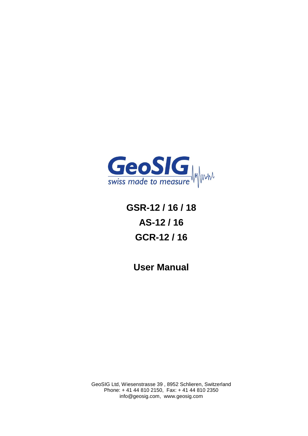

**GSR-12 / 16 / 18 AS-12 / 16 GCR-12 / 16** 

**User Manual**

GeoSIG Ltd, Wiesenstrasse 39 , 8952 Schlieren, Switzerland Phone: + 41 44 810 2150, Fax: + 41 44 810 2350 info@geosig.com, www.geosig.com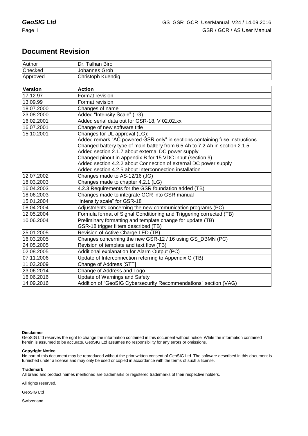# **Document Revision**

| Author         | Dr. Talhan Biro                                                             |
|----------------|-----------------------------------------------------------------------------|
| Checked        | Johannes Grob                                                               |
| Approved       | Christoph Kuendig                                                           |
|                |                                                                             |
| <b>Version</b> | <b>Action</b>                                                               |
| 17.12.97       | Format revision                                                             |
| 13.09.99       | Format revision                                                             |
| 18.07.2000     | Changes of name                                                             |
| 23.08.2000     | Added "Intensity Scale" (LG)                                                |
| 16.02.2001     | Added serial data out for GSR-18, V 02.02.xx                                |
| 16.07.2001     | Change of new software title                                                |
| 15.10.2001     | Changes for UL approval (LG):                                               |
|                | Added remark "AC powered GSR only" in sections containing fuse instructions |
|                | Changed battery type of main battery from 6.5 Ah to 7.2 Ah in section 2.1.5 |
|                | Added section 2.1.7 about external DC power supply                          |
|                | Changed pinout in appendix B for 15 VDC input (section 9)                   |
|                | Added section 4.2.2 about Connection of external DC power supply            |
|                | Added section 4.2.5 about Interconnection installation                      |
| 12.07.2002     | Changes made to AS-12/16 (JG)                                               |
| 18.03.2003     | Changes made to chapter 4.2.1 (LG)                                          |
| 16.04.2003     | 4.2.3 Requirements for the GSR foundation added (TB)                        |
| 18.06.2003     | Changes made to integrate GCR into GSR manual                               |
| 15.01.2004     | "Intensity scale" for GSR-18                                                |
| 08.04.2004     | Adjustments concerning the new communication programs (PC)                  |
| 12.05.2004     | Formula format of Signal Conditioning and Triggering corrected (TB)         |
| 10.06.2004     | Preliminary formatting and template change for update (TB)                  |
|                | GSR-18 trigger filters described (TB)                                       |
| 25.01.2005     | Revision of Active Charge LED (TB)                                          |
| 16.03.2005     | Changes concerning the new GSR-12 / 16 using GS_DBMN (PC)                   |
| 24.05.2005     | Revision of template and text flow (TB)                                     |
| 02.08.2005     | Additional explanation for Alarm Output (PC)                                |
| 07.11.2006     | Update of Interconnection referring to Appendix G (TB)                      |
| 11.03.2009     | Change of Address [STT]                                                     |
| 23.06.2014     | Change of Address and Logo                                                  |
| 16.06.2016     | Update of Warnings and Safety                                               |
| 14.09.2016     | Addition of "GeoSIG Cybersecurity Recommendations" section (VAG)            |

#### **Disclaimer**

GeoSIG Ltd reserves the right to change the information contained in this document without notice. While the information contained herein is assumed to be accurate, GeoSIG Ltd assumes no responsibility for any errors or omissions.

#### **Copyright Notice**

No part of this document may be reproduced without the prior written consent of GeoSIG Ltd. The software described in this document is furnished under a license and may only be used or copied in accordance with the terms of such a license.

#### **Trademark**

All brand and product names mentioned are trademarks or registered trademarks of their respective holders.

All rights reserved.

GeoSIG Ltd

**Switzerland**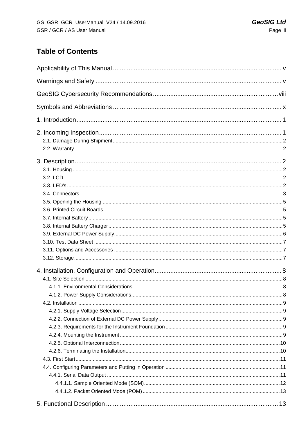# **Table of Contents**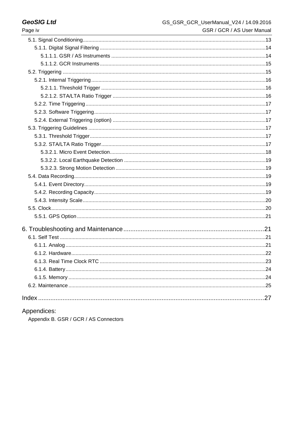| Page iv | GSR / GCR / AS User Manual |
|---------|----------------------------|
|         |                            |
|         |                            |
|         |                            |
|         |                            |
|         |                            |
|         |                            |
|         |                            |
|         |                            |
|         |                            |
|         |                            |
|         |                            |
|         |                            |
|         |                            |
|         |                            |
|         |                            |
|         |                            |
|         |                            |
|         |                            |
|         |                            |
|         |                            |
|         |                            |
|         |                            |
|         |                            |
|         |                            |
|         |                            |
|         |                            |
|         |                            |
|         |                            |
|         |                            |
|         |                            |
|         |                            |
|         |                            |
|         |                            |

# Appendices:

Appendix B. GSR / GCR / AS Connectors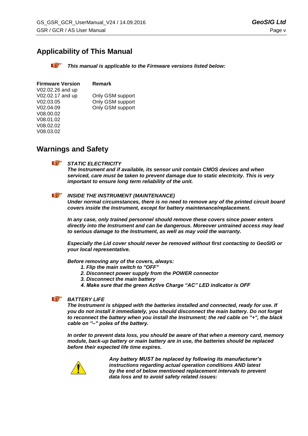# **Applicability of This Manual**

*This manual is applicable to the Firmware versions listed below:*

| <b>Firmware Version</b> | Remark           |
|-------------------------|------------------|
| V02.02.26 and up        |                  |
| V02.02.17 and up        | Only GSM support |
| V02.03.05               | Only GSM support |
| V02.04.09               | Only GSM support |
| V08.00.02               |                  |
| V08.01.02               |                  |
| V08.02.02               |                  |
| V08.03.02               |                  |

# **Warnings and Safety**

#### **a** *STATIC ELECTRICITY*

*The Instrument and if available, its sensor unit contain CMOS devices and when serviced, care must be taken to prevent damage due to static electricity. This is very important to ensure long term reliability of the unit.*

#### **d** *INSIDE THE INSTRUMENT (MAINTENANCE)*

*Under normal circumstances, there is no need to remove any of the printed circuit board covers inside the Instrument, except for battery maintenance/replacement.* 

*In any case, only trained personnel should remove these covers since power enters directly into the Instrument and can be dangerous. Moreover untrained access may lead to serious damage to the Instrument, as well as may void the warranty.*

*Especially the Lid cover should never be removed without first contacting to GeoSIG or your local representative.*

*Before removing any of the covers, always:*

- *1. Flip the main switch to "OFF"*
- *2. Disconnect power supply from the POWER connector*
- *3. Disconnect the main battery*
- *4. Make sure that the green Active Charge "AC" LED indicator is OFF*

#### **The Company's Service** *BATTERY LIFE*

*The Instrument is shipped with the batteries installed and connected, ready for use. If you do not install it immediately, you should disconnect the main battery. Do not forget to reconnect the battery when you install the Instrument; the red cable on "+", the black cable on "–" poles of the battery.*

*In order to prevent data loss, you should be aware of that when a memory card, memory module, back-up battery or main battery are in use, the batteries should be replaced before their expected life time expires.* 



*Any battery MUST be replaced by following its manufacturer's instructions regarding actual operation conditions AND latest by the end of below mentioned replacement intervals to prevent data loss and to avoid safety related issues:*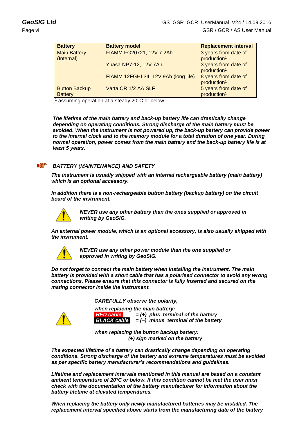| <b>Battery</b>                         | <b>Battery model</b>                | <b>Replacement interval</b>                     |
|----------------------------------------|-------------------------------------|-------------------------------------------------|
| <b>Main Battery</b><br>(Internal)      | FIAMM FG20721, 12V 7.2Ah            | 3 years from date of<br>production <sup>1</sup> |
|                                        | <b>Yuasa NP7-12, 12V 7Ah</b>        | 3 years from date of<br>production <sup>1</sup> |
|                                        | FIAMM 12FGHL34, 12V 9Ah (long life) | 8 years from date of<br>production <sup>1</sup> |
| <b>Button Backup</b><br><b>Battery</b> | Varta CR 1/2 AA SLF                 | 5 years from date of<br>production <sup>1</sup> |

<sup>1</sup> assuming operation at a steady 20°C or below.

*The lifetime of the main battery and back-up battery life can drastically change depending on operating conditions. Strong discharge of the main battery must be avoided. When the Instrument is not powered up, the back-up battery can provide power to the internal clock and to the memory module for a total duration of one year. During normal operation, power comes from the main battery and the back-up battery life is at least 5 years.*

#### **The Company of the Company** *BATTERY (MAINTENANCE) AND SAFETY*

*The instrument is usually shipped with an internal rechargeable battery (main battery) which is an optional accessory.* 

*In addition there is a non-rechargeable button battery (backup battery) on the circuit board of the instrument.*



*NEVER use any other battery than the ones supplied or approved in writing by GeoSIG.* 

*An external power module, which is an optional accessory, is also usually shipped with the instrument.* 



*NEVER use any other power module than the one supplied or approved in writing by GeoSIG.*

*Do not forget to connect the main battery when installing the instrument. The main battery is provided with a short cable that has a polarised connector to avoid any wrong connections. Please ensure that this connector is fully inserted and secured on the mating connector inside the instrument.*

*CAREFULLY observe the polarity,* 



*when replacing the main battery: RED cable = (+) plus terminal of the battery BLACK cable = (–) minus terminal of the battery*

*when replacing the button backup battery: (+) sign marked on the battery* 

*The expected lifetime of a battery can drastically change depending on operating conditions. Strong discharge of the battery and extreme temperatures must be avoided as per specific battery manufacturer's recommendations and guidelines.* 

*Lifetime and replacement intervals mentioned in this manual are based on a constant ambient temperature of 20°C or below. If this condition cannot be met the user must check with the documentation of the battery manufacturer for information about the battery lifetime at elevated temperatures.*

*When replacing the battery only newly manufactured batteries may be installed. The replacement interval specified above starts from the manufacturing date of the battery*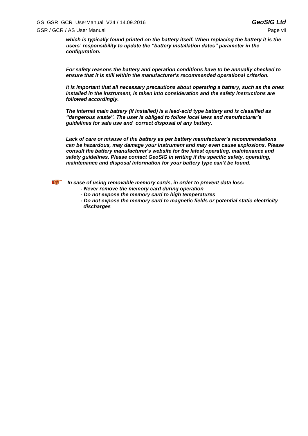*which is typically found printed on the battery itself. When replacing the battery it is the users' responsibility to update the "battery installation dates" parameter in the configuration.*

*For safety reasons the battery and operation conditions have to be annually checked to ensure that it is still within the manufacturer's recommended operational criterion.* 

*It is important that all necessary precautions about operating a battery, such as the ones installed in the instrument, is taken into consideration and the safety instructions are followed accordingly.* 

*The internal main battery (if installed) is a lead-acid type battery and is classified as "dangerous waste". The user is obliged to follow local laws and manufacturer's guidelines for safe use and correct disposal of any battery.*

*Lack of care or misuse of the battery as per battery manufacturer's recommendations can be hazardous, may damage your instrument and may even cause explosions. Please consult the battery manufacturer's website for the latest operating, maintenance and safety guidelines. Please contact GeoSIG in writing if the specific safety, operating, maintenance and disposal information for your battery type can't be found.*



*In case of using removable memory cards, in order to prevent data loss:*

- *- Never remove the memory card during operation*
- *- Do not expose the memory card to high temperatures*
- *- Do not expose the memory card to magnetic fields or potential static electricity discharges*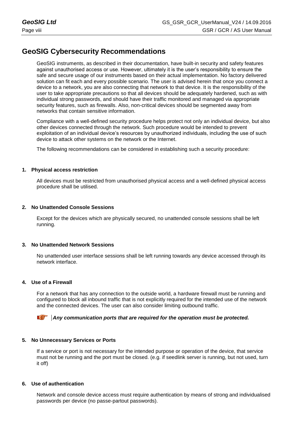# **GeoSIG Cybersecurity Recommendations**

GeoSIG instruments, as described in their documentation, have built-in security and safety features against unauthorised access or use. However, ultimately it is the user's responsibility to ensure the safe and secure usage of our instruments based on their actual implementation. No factory delivered solution can fit each and every possible scenario. The user is advised herein that once you connect a device to a network, you are also connecting that network to that device. It is the responsibility of the user to take appropriate precautions so that all devices should be adequately hardened, such as with individual strong passwords, and should have their traffic monitored and managed via appropriate security features, such as firewalls. Also, non-critical devices should be segmented away from networks that contain sensitive information.

Compliance with a well-defined security procedure helps protect not only an individual device, but also other devices connected through the network. Such procedure would be intended to prevent exploitation of an individual device's resources by unauthorized individuals, including the use of such device to attack other systems on the network or the Internet.

The following recommendations can be considered in establishing such a security procedure:

#### **1. Physical access restriction**

All devices must be restricted from unauthorised physical access and a well-defined physical access procedure shall be utilised.

#### **2. No Unattended Console Sessions**

Except for the devices which are physically secured, no unattended console sessions shall be left running.

#### **3. No Unattended Network Sessions**

No unattended user interface sessions shall be left running towards any device accessed through its network interface.

#### **4. Use of a Firewall**

For a network that has any connection to the outside world, a hardware firewall must be running and configured to block all inbound traffic that is not explicitly required for the intended use of the network and the connected devices. The user can also consider limiting outbound traffic.

#### *Any communication ports that are required for the operation must be protected.*

#### **5. No Unnecessary Services or Ports**

If a service or port is not necessary for the intended purpose or operation of the device, that service must not be running and the port must be closed. (e.g. if seedlink server is running, but not used, turn it off)

#### **6. Use of authentication**

Network and console device access must require authentication by means of strong and individualised passwords per device (no passe-partout passwords).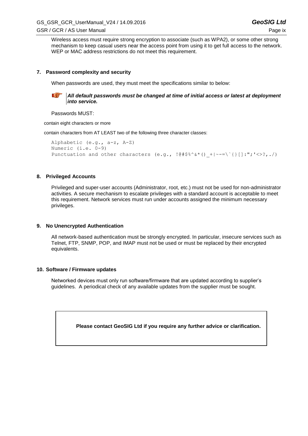Wireless access must require strong encryption to associate (such as WPA2), or some other strong mechanism to keep casual users near the access point from using it to get full access to the network. WEP or MAC address restrictions do not meet this requirement.

#### **7. Password complexity and security**

When passwords are used, they must meet the specifications similar to below:



*All default passwords must be changed at time of initial access or latest at deployment into service.*

Passwords MUST:

contain eight characters or more

contain characters from AT LEAST two of the following three character classes:

```
Alphabetic (e.g., a-z, A-Z)
Numeric (i.e. 0-9)
Punctuation and other characters (e.g., \left[0, \frac{4}{3} \times 3 \times (1, -1) \times 7, \ldots \right])
```
#### **8. Privileged Accounts**

Privileged and super-user accounts (Administrator, root, etc.) must not be used for non-administrator activities. A secure mechanism to escalate privileges with a standard account is acceptable to meet this requirement. Network services must run under accounts assigned the minimum necessary privileges.

#### **9. No Unencrypted Authentication**

All network-based authentication must be strongly encrypted. In particular, insecure services such as Telnet, FTP, SNMP, POP, and IMAP must not be used or must be replaced by their encrypted equivalents.

#### **10. Software / Firmware updates**

Networked devices must only run software/firmware that are updated according to supplier's guidelines. A periodical check of any available updates from the supplier must be sought.

**Please contact GeoSIG Ltd if you require any further advice or clarification.**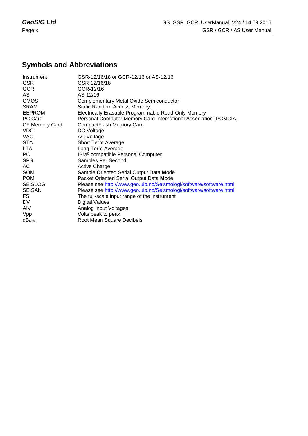# **Symbols and Abbreviations**

| Instrument               | GSR-12/16/18 or GCR-12/16 or AS-12/16                              |
|--------------------------|--------------------------------------------------------------------|
| <b>GSR</b>               | GSR-12/16/18                                                       |
| <b>GCR</b>               | GCR-12/16                                                          |
| AS.                      | AS-12/16                                                           |
| <b>CMOS</b>              | Complementary Metal Oxide Semiconductor                            |
| <b>SRAM</b>              | <b>Static Random Access Memory</b>                                 |
| <b>EEPROM</b>            | Electrically Erasable Programmable Read-Only Memory                |
| PC Card                  | Personal Computer Memory Card International Association (PCMCIA)   |
| CF Memory Card           | CompactFlash Memory Card                                           |
| <b>VDC</b>               | DC Voltage                                                         |
| <b>VAC</b>               | <b>AC Voltage</b>                                                  |
| <b>STA</b>               | Short Term Average                                                 |
| LTA.                     | Long Term Average                                                  |
| PC                       | IBM <sup>®</sup> compatible Personal Computer                      |
| <b>SPS</b>               | Samples Per Second                                                 |
| AC                       | <b>Active Charge</b>                                               |
| SOM                      | <b>Sample Oriented Serial Output Data Mode</b>                     |
| <b>POM</b>               | Packet Oriented Serial Output Data Mode                            |
| <b>SEISLOG</b>           | Please see http://www.geo.uib.no/Seismologi/software/software.html |
| <b>SEISAN</b>            | Please see http://www.geo.uib.no/Seismologi/software/software.html |
| FS                       | The full-scale input range of the instrument                       |
| DV                       | <b>Digital Values</b>                                              |
| <b>AIV</b>               | Analog Input Voltages                                              |
| Vpp                      | Volts peak to peak                                                 |
| <b>dB</b> <sub>RMS</sub> | Root Mean Square Decibels                                          |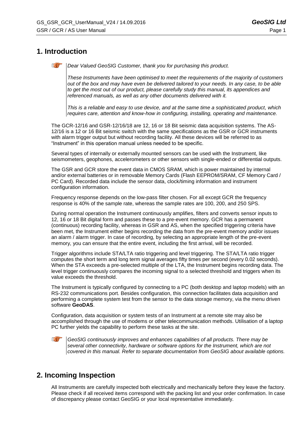# **1. Introduction**

*Dear Valued GeoSIG Customer, thank you for purchasing this product.*

*These Instruments have been optimised to meet the requirements of the majority of customers out of the box and may have even be delivered tailored to your needs. In any case, to be able*  to get the most out of our product, please carefully study this manual, its appendices and *referenced manuals, as well as any other documents delivered with it.*

*This is a reliable and easy to use device, and at the same time a sophisticated product, which requires care, attention and know-how in configuring, installing, operating and maintenance.*

The GCR-12/16 and GSR-12/16/18 are 12, 16 or 18 Bit seismic data acquisition systems. The AS-12/16 is a 12 or 16 Bit seismic switch with the same specifications as the GSR or GCR instruments with alarm trigger output but without recording facility. All these devices will be referred to as "Instrument" in this operation manual unless needed to be specific.

Several types of internally or externally mounted sensors can be used with the Instrument, like seismometers, geophones, accelerometers or other sensors with single-ended or differential outputs.

The GSR and GCR store the event data in CMOS SRAM, which is power maintained by internal and/or external batteries or in removable Memory Cards (Flash EEPROM/SRAM, CF Memory Card / PC Card). Recorded data include the sensor data, clock/timing information and instrument configuration information.

Frequency response depends on the low-pass filter chosen. For all except GCR the frequency response is 40% of the sample rate, whereas the sample rates are 100, 200, and 250 SPS.

During normal operation the Instrument continuously amplifies, filters and converts sensor inputs to 12, 16 or 18 Bit digital form and passes these to a pre-event memory. GCR has a permanent (continuous) recording facility, whereas in GSR and AS, when the specified triggering criteria have been met, the Instrument either begins recording the data from the pre-event memory and/or issues an alarm / alarm trigger. In case of recording, by selecting an appropriate length of the pre-event memory, you can ensure that the entire event, including the first arrival, will be recorded.

Trigger algorithms include STA/LTA ratio triggering and level triggering. The STA/LTA ratio trigger computes the short term and long term signal averages fifty times per second (every 0.02 seconds). When the STA exceeds a pre-selected multiple of the LTA, the Instrument begins recording data. The level trigger continuously compares the incoming signal to a selected threshold and triggers when its value exceeds the threshold.

The Instrument is typically configured by connecting to a PC (both desktop and laptop models) with an RS-232 communications port. Besides configuration, this connection facilitates data acquisition and performing a complete system test from the sensor to the data storage memory, via the menu driven software **GeoDAS**.

Configuration, data acquisition or system tests of an Instrument at a remote site may also be accomplished through the use of modems or other telecommunication methods. Utilisation of a laptop PC further yields the capability to perform these tasks at the site.

*GeoSIG continuously improves and enhances capabilities of all products. There may be several other connectivity, hardware or software options for the Instrument, which are not covered in this manual. Refer to separate documentation from GeoSIG about available options.*

# **2. Incoming Inspection**

All Instruments are carefully inspected both electrically and mechanically before they leave the factory. Please check if all received items correspond with the packing list and your order confirmation. In case of discrepancy please contact GeoSIG or your local representative immediately.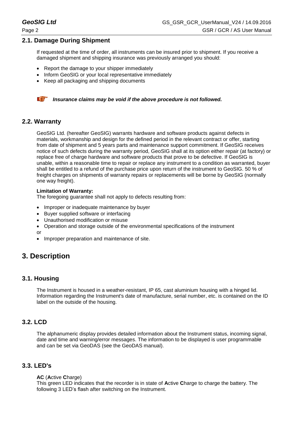# **2.1. Damage During Shipment**

If requested at the time of order, all instruments can be insured prior to shipment. If you receive a damaged shipment and shipping insurance was previously arranged you should:

- Report the damage to your shipper immediately
- Inform GeoSIG or your local representative immediately
- Keep all packaging and shipping documents



**A** *Insurance claims may be void if the above procedure is not followed.* 

## **2.2. Warranty**

GeoSIG Ltd. (hereafter GeoSIG) warrants hardware and software products against defects in materials, workmanship and design for the defined period in the relevant contract or offer, starting from date of shipment and 5 years parts and maintenance support commitment. If GeoSIG receives notice of such defects during the warranty period, GeoSIG shall at its option either repair (at factory) or replace free of charge hardware and software products that prove to be defective. If GeoSIG is unable, within a reasonable time to repair or replace any instrument to a condition as warranted, buyer shall be entitled to a refund of the purchase price upon return of the instrument to GeoSIG. 50 % of freight charges on shipments of warranty repairs or replacements will be borne by GeoSIG (normally one way freight).

#### **Limitation of Warranty:**

The foregoing guarantee shall not apply to defects resulting from:

- Improper or inadequate maintenance by buyer
- Buyer supplied software or interfacing
- Unauthorised modification or misuse
- Operation and storage outside of the environmental specifications of the instrument
- or
- Improper preparation and maintenance of site.

# **3. Description**

# **3.1. Housing**

The Instrument is housed in a weather-resistant, IP 65, cast aluminium housing with a hinged lid. Information regarding the Instrument's date of manufacture, serial number, etc. is contained on the ID label on the outside of the housing.

# **3.2. LCD**

The alphanumeric display provides detailed information about the Instrument status, incoming signal, date and time and warning/error messages. The information to be displayed is user programmable and can be set via GeoDAS (see the GeoDAS manual).

# **3.3. LED's**

#### **AC** (**A**ctive **C**harge)

This green LED indicates that the recorder is in state of **A**ctive **C**harge to charge the battery. The following 3 LED's flash after switching on the Instrument.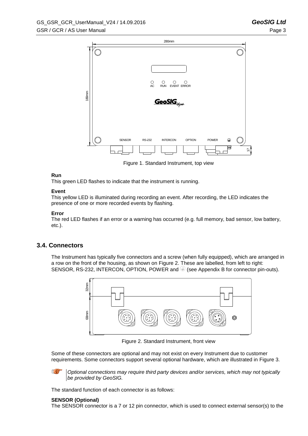

Figure 1. Standard Instrument, top view

#### <span id="page-12-1"></span>**Run**

This green LED flashes to indicate that the instrument is running.

#### **Event**

This yellow LED is illuminated during recording an event. After recording, the LED indicates the presence of one or more recorded events by flashing.

### **Error**

The red LED flashes if an error or a warning has occurred (e.g. full memory, bad sensor, low battery, etc.).

# **3.4. Connectors**

The Instrument has typically five connectors and a screw (when fully equipped), which are arranged in a row on the front of the housing, as shown on [Figure 2.](#page-12-0) These are labelled, from left to right: SENSOR, RS-232, INTERCON, OPTION, POWER and  $\bigcirc$  (see Appendix B for connector pin-outs).



Figure 2. Standard Instrument, front view

<span id="page-12-0"></span>Some of these connectors are optional and may not exist on every Instrument due to customer requirements. Some connectors support several optional hardware, which are illustrated in [Figure 3.](#page-13-0)

**R** *Optional connections may require third party devices and/or services, which may not typically be provided by GeoSIG.*

The standard function of each connector is as follows:

#### **SENSOR (Optional)**

The SENSOR connector is a 7 or 12 pin connector, which is used to connect external sensor(s) to the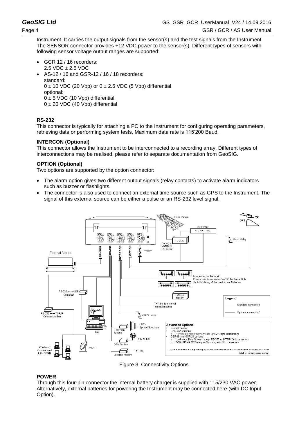Instrument. It carries the output signals from the sensor(s) and the test signals from the Instrument. The SENSOR connector provides +12 VDC power to the sensor(s). Different types of sensors with following sensor voltage output ranges are supported:

- GCR 12 / 16 recorders: 2.5 VDC ± 2.5 VDC
- AS-12 / 16 and GSR-12 / 16 / 18 recorders: standard:  $0 \pm 10$  VDC (20 Vpp) or  $0 \pm 2.5$  VDC (5 Vpp) differential optional:  $0 \pm 5$  VDC (10 Vpp) differential  $0 \pm 20$  VDC (40 Vpp) differential

### **RS-232**

This connector is typically for attaching a PC to the Instrument for configuring operating parameters, retrieving data or performing system tests. Maximum data rate is 115'200 Baud.

### **INTERCON (Optional)**

This connector allows the Instrument to be interconnected to a recording array. Different types of interconnections may be realised, please refer to separate documentation from GeoSIG.

### **OPTION (Optional)**

Two options are supported by the option connector:

- The alarm option gives two different output signals (relay contacts) to activate alarm indicators such as buzzer or flashlights.
- The connector is also used to connect an external time source such as GPS to the Instrument. The signal of this external source can be either a pulse or an RS-232 level signal.



Figure 3. Connectivity Options

## <span id="page-13-0"></span>**POWER**

Through this four-pin connector the internal battery charger is supplied with 115/230 VAC power. Alternatively, external batteries for powering the Instrument may be connected here (with DC Input Option).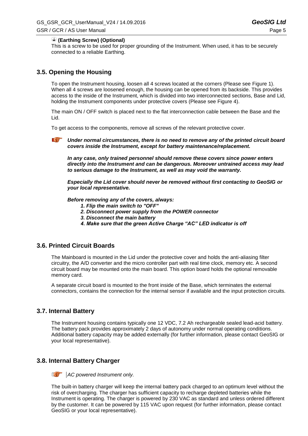#### **(Earthing Screw) (Optional)**

This is a screw to be used for proper grounding of the Instrument. When used, it has to be securely connected to a reliable Earthing.

## <span id="page-14-0"></span>**3.5. Opening the Housing**

To open the Instrument housing, loosen all 4 screws located at the corners (Please see [Figure 1\)](#page-12-1). When all 4 screws are loosened enough, the housing can be opened from its backside. This provides access to the inside of the Instrument, which is divided into two interconnected sections, Base and Lid, holding the Instrument components under protective covers (Please see [Figure 4\)](#page-15-0).

The main ON / OFF switch is placed next to the flat interconnection cable between the Base and the Lid.

To get access to the components, remove all screws of the relevant protective cover.

**a** *Under normal circumstances, there is no need to remove any of the printed circuit board covers inside the Instrument, except for battery maintenance/replacement.* 

*In any case, only trained personnel should remove these covers since power enters directly into the Instrument and can be dangerous. Moreover untrained access may lead to serious damage to the Instrument, as well as may void the warranty.*

*Especially the Lid cover should never be removed without first contacting to GeoSIG or your local representative.*

*Before removing any of the covers, always:*

- *1. Flip the main switch to "OFF"*
- *2. Disconnect power supply from the POWER connector*
- *3. Disconnect the main battery*
- *4. Make sure that the green Active Charge "AC" LED indicator is off*

### **3.6. Printed Circuit Boards**

The Mainboard is mounted in the Lid under the protective cover and holds the anti-aliasing filter circuitry, the A/D converter and the micro controller part with real time clock, memory etc. A second circuit board may be mounted onto the main board. This option board holds the optional removable memory card.

A separate circuit board is mounted to the front inside of the Base, which terminates the external connectors, contains the connection for the internal sensor if available and the input protection circuits.

## **3.7. Internal Battery**

The Instrument housing contains typically one 12 VDC, 7.2 Ah rechargeable sealed lead-acid battery. The battery pack provides approximately 2 days of autonomy under normal operating conditions. Additional battery capacity may be added externally (for further information, please contact GeoSIG or your local representative).

#### **3.8. Internal Battery Charger**



The built-in battery charger will keep the internal battery pack charged to an optimum level without the risk of overcharging. The charger has sufficient capacity to recharge depleted batteries while the Instrument is operating. The charger is powered by 230 VAC as standard and unless ordered different by the customer. It can be powered by 115 VAC upon request (for further information, please contact GeoSIG or your local representative).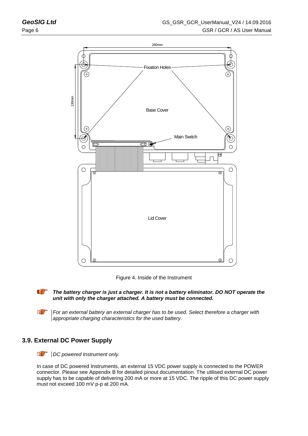



<span id="page-15-0"></span>

*The battery charger is just a charger. It is not a battery eliminator. DO NOT operate the unit with only the charger attached. A battery must be connected.*

**a** *For an external battery an external charger has to be used. Select therefore a charger with appropriate charging characteristics for the used battery.*

# **3.9. External DC Power Supply**

*a DC powered Instrument only.*

In case of DC powered Instruments, an external 15 VDC power supply is connected to the POWER connector. Please see Appendix B for detailed pinout documentation. The utilised external DC power supply has to be capable of delivering 200 mA or more at 15 VDC. The ripple of this DC power supply must not exceed 100 mV p-p at 200 mA.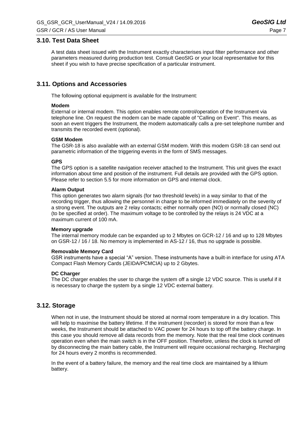### **3.10. Test Data Sheet**

A test data sheet issued with the Instrument exactly characterises input filter performance and other parameters measured during production test. Consult GeoSIG or your local representative for this sheet if you wish to have precise specification of a particular instrument.

## **3.11. Options and Accessories**

The following optional equipment is available for the Instrument:

#### **Modem**

External or internal modem. This option enables remote control/operation of the Instrument via telephone line. On request the modem can be made capable of "Calling on Event". This means, as soon an event triggers the Instrument, the modem automatically calls a pre-set telephone number and transmits the recorded event (optional).

#### **GSM Modem**

The GSR-18 is also available with an external GSM modem. With this modem GSR-18 can send out parametric information of the triggering events in the form of SMS messages.

#### **GPS**

The GPS option is a satellite navigation receiver attached to the Instrument. This unit gives the exact information about time and position of the instrument. Full details are provided with the GPS option. Please refer to section [5.5](#page-29-0) for more information on GPS and internal clock.

#### **Alarm Output**

This option generates two alarm signals (for two threshold levels) in a way similar to that of the recording trigger, thus allowing the personnel in charge to be informed immediately on the severity of a strong event. The outputs are 2 relay contacts; either normally open (NO) or normally closed (NC) (to be specified at order). The maximum voltage to be controlled by the relays is 24 VDC at a maximum current of 100 mA.

#### **Memory upgrade**

The internal memory module can be expanded up to 2 Mbytes on GCR-12 / 16 and up to 128 Mbytes on GSR-12 / 16 / 18. No memory is implemented in AS-12 / 16, thus no upgrade is possible.

#### **Removable Memory Card**

GSR instruments have a special "A" version. These instruments have a built-in interface for using ATA Compact Flash Memory Cards (JEIDA/PCMCIA) up to 2 Gbytes.

#### **DC Charger**

The DC charger enables the user to charge the system off a single 12 VDC source. This is useful if it is necessary to charge the system by a single 12 VDC external battery.

## **3.12. Storage**

When not in use, the Instrument should be stored at normal room temperature in a dry location. This will help to maximise the battery lifetime. If the instrument (recorder) is stored for more than a few weeks, the Instrument should be attached to VAC power for 24 hours to top off the battery charge. In this case you should remove all data records from the memory. Note that the real time clock continues operation even when the main switch is in the OFF position. Therefore, unless the clock is turned off by disconnecting the main battery cable, the Instrument will require occasional recharging. Recharging for 24 hours every 2 months is recommended.

In the event of a battery failure, the memory and the real time clock are maintained by a lithium battery.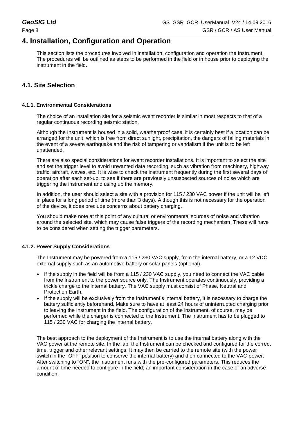# <span id="page-17-0"></span>**4. Installation, Configuration and Operation**

This section lists the procedures involved in installation, configuration and operation the Instrument. The procedures will be outlined as steps to be performed in the field or in house prior to deploying the instrument in the field.

# **4.1. Site Selection**

### **4.1.1. Environmental Considerations**

The choice of an installation site for a seismic event recorder is similar in most respects to that of a regular continuous recording seismic station.

Although the Instrument is housed in a solid, weatherproof case, it is certainly best if a location can be arranged for the unit, which is free from direct sunlight, precipitation, the dangers of falling materials in the event of a severe earthquake and the risk of tampering or vandalism if the unit is to be left unattended.

There are also special considerations for event recorder installations. It is important to select the site and set the trigger level to avoid unwanted data recording, such as vibration from machinery, highway traffic, aircraft, waves, etc. It is wise to check the instrument frequently during the first several days of operation after each set-up, to see if there are previously unsuspected sources of noise which are triggering the instrument and using up the memory.

In addition, the user should select a site with a provision for 115 / 230 VAC power if the unit will be left in place for a long period of time (more than 3 days). Although this is not necessary for the operation of the device, it does preclude concerns about battery charging.

You should make note at this point of any cultural or environmental sources of noise and vibration around the selected site, which may cause false triggers of the recording mechanism. These will have to be considered when setting the trigger parameters.

#### **4.1.2. Power Supply Considerations**

The Instrument may be powered from a 115 / 230 VAC supply, from the internal battery, or a 12 VDC external supply such as an automotive battery or solar panels (optional).

- If the supply in the field will be from a 115 / 230 VAC supply, you need to connect the VAC cable from the Instrument to the power source only. The Instrument operates continuously, providing a trickle charge to the internal battery. The VAC supply must consist of Phase, Neutral and Protection Earth.
- If the supply will be exclusively from the Instrument's internal battery, it is necessary to charge the battery sufficiently beforehand. Make sure to have at least 24 hours of uninterrupted charging prior to leaving the Instrument in the field. The configuration of the instrument, of course, may be performed while the charger is connected to the Instrument. The Instrument has to be plugged to 115 / 230 VAC for charging the internal battery.

The best approach to the deployment of the Instrument is to use the internal battery along with the VAC power at the remote site. In the lab, the Instrument can be checked and configured for the correct time, trigger and other relevant settings. It may then be carried to the remote site (with the power switch in the "OFF" position to conserve the internal battery) and then connected to the VAC power. After switching to "ON", the Instrument runs with the pre-configured parameters. This reduces the amount of time needed to configure in the field; an important consideration in the case of an adverse condition.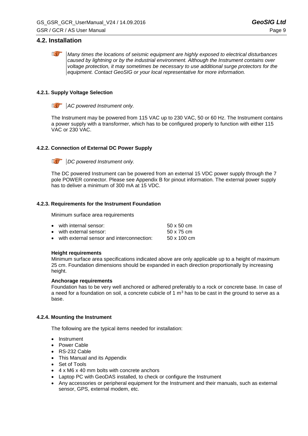## **4.2. Installation**

*Many times the locations of seismic equipment are highly exposed to electrical disturbances caused by lightning or by the industrial environment. Although the Instrument contains over voltage protection, it may sometimes be necessary to use additional surge protectors for the equipment. Contact GeoSIG or your local representative for more information.*

### **4.2.1. Supply Voltage Selection**

*a AC powered Instrument only.*

The Instrument may be powered from 115 VAC up to 230 VAC, 50 or 60 Hz. The Instrument contains a power supply with a transformer, which has to be configured properly to function with either 115 VAC or 230 VAC.

### <span id="page-18-1"></span>**4.2.2. Connection of External DC Power Supply**

*DC powered Instrument only.* 

The DC powered Instrument can be powered from an external 15 VDC power supply through the 7 pole POWER connector. Please see Appendix B for pinout information. The external power supply has to deliver a minimum of 300 mA at 15 VDC.

#### <span id="page-18-0"></span>**4.2.3. Requirements for the Instrument Foundation**

Minimum surface area requirements

| • with internal sensor:                     | $50 \times 50$ cm  |
|---------------------------------------------|--------------------|
| • with external sensor:                     | 50 x 75 cm         |
| • with external sensor and interconnection: | $50 \times 100$ cm |

#### **Height requirements**

Minimum surface area specifications indicated above are only applicable up to a height of maximum 25 cm. Foundation dimensions should be expanded in each direction proportionally by increasing height.

#### **Anchorage requirements**

Foundation has to be very well anchored or adhered preferably to a rock or concrete base. In case of a need for a foundation on soil, a concrete cubicle of 1  $m<sup>3</sup>$  has to be cast in the ground to serve as a base.

#### **4.2.4. Mounting the Instrument**

The following are the typical items needed for installation:

- Instrument
- Power Cable
- RS-232 Cable
- This Manual and its Appendix
- Set of Tools
- 4 x M6 x 40 mm bolts with concrete anchors
- Laptop PC with GeoDAS installed, to check or configure the Instrument
- Any accessories or peripheral equipment for the Instrument and their manuals, such as external sensor, GPS, external modem, etc.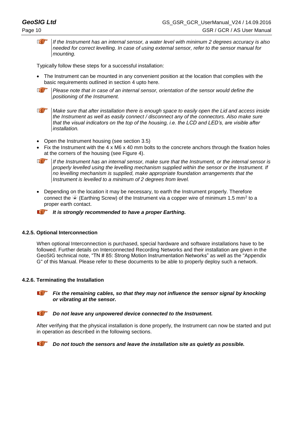*a If the Instrument has an internal sensor, a water level with minimum 2 degrees accuracy is also needed for correct levelling. In case of using external sensor, refer to the sensor manual for mounting.*

Typically follow these steps for a successful installation:

- The Instrument can be mounted in any convenient position at the location that complies with the basic requirements outlined in section [4](#page-17-0) upto here.
- **a** *Please note that in case of an internal sensor, orientation of the sensor would define the positioning of the Instrument.*

**a** *Make sure that after installation there is enough space to easily open the Lid and access inside the Instrument as well as easily connect / disconnect any of the connectors. Also make sure that the visual indicators on the top of the housing, i.e. the LCD and LED's, are visible after installation.*

- Open the Instrument housing (see section [3.5\)](#page-14-0)
- Fix the Instrument with the 4 x M6 x 40 mm bolts to the concrete anchors through the fixation holes at the corners of the housing (see [Figure 4\)](#page-15-0).



*If the Instrument has an internal sensor, make sure that the Instrument, or the internal sensor is properly levelled using the levelling mechanism supplied within the sensor or the Instrument. If no levelling mechanism is supplied, make appropriate foundation arrangements that the Instrument is levelled to a minimum of 2 degrees from level.*

 Depending on the location it may be necessary, to earth the Instrument properly. Therefore connect the  $\textcircledast$  (Earthing Screw) of the Instrument via a copper wire of minimum 1.5 mm<sup>2</sup> to a proper earth contact.



*It is strongly recommended to have a proper Earthing.*

#### **4.2.5. Optional Interconnection**

When optional Interconnection is purchased, special hardware and software installations have to be followed. Further details on Interconnected Recording Networks and their installation are given in the GeoSIG technical note, "TN # 85: Strong Motion Instrumentation Networks" as well as the "Appendix G" of this Manual. Please refer to these documents to be able to properly deploy such a network.

#### **4.2.6. Terminating the Installation**



*Fix the remaining cables, so that they may not influence the sensor signal by knocking or vibrating at the sensor.*

#### **ICENT** *Do not leave* **any** *unpowered device connected to the Instrument.*

After verifying that the physical installation is done properly, the Instrument can now be started and put in operation as described in the following sections.



*Do not touch the sensors and leave the installation site as quietly as possible.*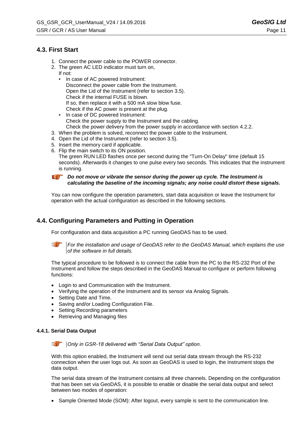# **4.3. First Start**

- 1. Connect the power cable to the POWER connector.
- 2. The green AC LED indicator must turn on,
	- If not:
		- In case of AC powered Instrument: Disconnect the power cable from the Instrument. Open the Lid of the Instrument (refer to section [3.5\)](#page-14-0). Check if the internal FUSE is blown. If so, then replace it with a 500 mA slow blow fuse. Check if the AC power is present at the plug.
	- In case of DC powered Instrument: Check the power supply to the Instrument and the cabling. Check the power delivery from the power supply in accordance with section [4.2.2.](#page-18-1)
- 3. When the problem is solved, reconnect the power cable to the Instrument.
- 4. Open the Lid of the Instrument (refer to section [3.5\)](#page-14-0).
- 5. Insert the memory card if applicable.
- 6. Flip the main switch to its ON position. The green RUN LED flashes once per second during the "Turn-On Delay" time (default 15 seconds). Afterwards it changes to one pulse every two seconds. This indicates that the instrument is running.

**Do not move or vibrate the sensor during the power up cycle. The Instrument is** *calculating the baseline of the incoming signals; any noise could distort these signals.*

You can now configure the operation parameters, start data acquisition or leave the Instrument for operation with the actual configuration as described in the following sections.

# **4.4. Configuring Parameters and Putting in Operation**

For configuration and data acquisition a PC running GeoDAS has to be used.

*For the installation and usage of GeoDAS refer to the GeoDAS Manual, which explains the use of the software in full details.*

The typical procedure to be followed is to connect the cable from the PC to the RS-232 Port of the Instrument and follow the steps described in the GeoDAS Manual to configure or perform following functions:

- Login to and Communication with the Instrument.
- Verifying the operation of the Instrument and its sensor via Analog Signals.
- Setting Date and Time.
- Saving and/or Loading Configuration File.
- Setting Recording parameters
- Retrieving and Managing files

#### **4.4.1. Serial Data Output**

*Only in GSR-18 delivered with "Serial Data Output" option.*

With this option enabled, the Instrument will send out serial data stream through the RS-232 connection when the user logs out. As soon as GeoDAS is used to login, the Instrument stops the data output.

The serial data stream of the Instrument contains all three channels. Depending on the configuration that has been set via GeoDAS, it is possible to enable or disable the serial data output and select between two modes of operation:

• Sample Oriented Mode (SOM): After logout, every sample is sent to the communication line.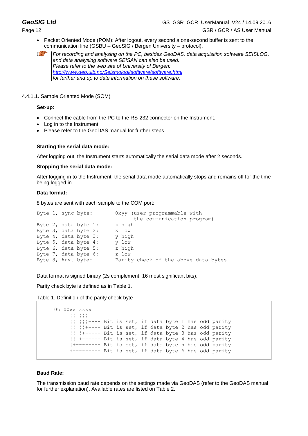Packet Oriented Mode (POM): After logout, every second a one-second buffer is sent to the communication line (GSBU – GeoSIG / Bergen University – protocol).

*a For recording and analysing on the PC, besides GeoDAS, data acquisition software SEISLOG, and data analysing software SEISAN can also be used. Please refer to the web site of University of Bergen: <http://www.geo.uib.no/Seismologi/software/software.html> for further and up to date information on these software.*

#### 4.4.1.1. Sample Oriented Mode (SOM)

#### **Set-up:**

- Connect the cable from the PC to the RS-232 connector on the Instrument.
- Log in to the Instrument.
- Please refer to the GeoDAS manual for further steps.

#### **Starting the serial data mode:**

After logging out, the Instrument starts automatically the serial data mode after 2 seconds.

#### **Stopping the serial data mode:**

After logging in to the Instrument, the serial data mode automatically stops and remains off for the time being logged in.

#### **Data format:**

8 bytes are sent with each sample to the COM port:

|  | Byte 1, sync byte:   | Oxyy (user programmable with         |                            |  |  |
|--|----------------------|--------------------------------------|----------------------------|--|--|
|  |                      |                                      | the communication program) |  |  |
|  | Byte 2, data byte 1: | x high                               |                            |  |  |
|  | Byte 3, data byte 2: | x low                                |                            |  |  |
|  | Byte 4, data byte 3: | y high                               |                            |  |  |
|  | Byte 5, data byte 4: | v low                                |                            |  |  |
|  | Byte 6, data byte 5: | z high                               |                            |  |  |
|  | Byte 7, data byte 6: | z low                                |                            |  |  |
|  | Byte 8, Aux. byte:   | Parity check of the above data bytes |                            |  |  |
|  |                      |                                      |                            |  |  |

Data format is signed binary (2s complement, 16 most significant bits).

Parity check byte is defined as in [Table 1.](#page-21-0)

```
Table 1. Definition of the parity check byte
```

```
0b 00xx xxxx
      ¦¦ ¦¦¦¦
      ¦¦ ¦¦¦+--- Bit is set, if data byte 1 has odd parity
      ¦¦ ¦¦+---- Bit is set, if data byte 2 has odd parity
      ¦¦ ¦+----- Bit is set, if data byte 3 has odd parity
      ¦¦ +------ Bit is set, if data byte 4 has odd parity
      ¦+-------- Bit is set, if data byte 5 has odd parity
     .<br>+--------- Bit is set, if data byte 6 has odd parity
```
#### **Baud Rate:**

The transmission baud rate depends on the settings made via GeoDAS (refer to the GeoDAS manual for further explanation). Available rates are listed on [Table 2.](#page-22-0)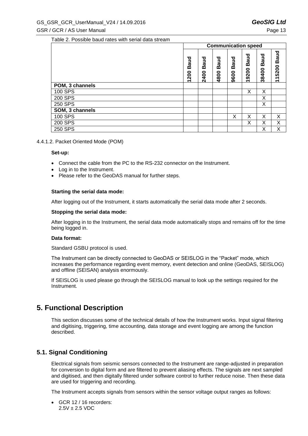<span id="page-22-0"></span>Table 2. Possible baud rates with serial data stream

|                 | <b>Communication speed</b> |                     |                  |                     |               |                      |                       |
|-----------------|----------------------------|---------------------|------------------|---------------------|---------------|----------------------|-----------------------|
|                 | <b>Baud</b><br>1200        | <b>Baud</b><br>2400 | aud<br>m<br>4800 | <b>Baud</b><br>9600 | Baud<br>19200 | <b>Baud</b><br>38400 | <b>Baud</b><br>115200 |
| POM, 3 channels |                            |                     |                  |                     |               |                      |                       |
| 100 SPS         |                            |                     |                  |                     | X             | Χ                    |                       |
| 200 SPS         |                            |                     |                  |                     |               | X                    |                       |
| 250 SPS         |                            |                     |                  |                     |               | Х                    |                       |
| SOM, 3 channels |                            |                     |                  |                     |               |                      |                       |
| 100 SPS         |                            |                     |                  | X                   | Χ             | X                    | X                     |
| 200 SPS         |                            |                     |                  |                     | Χ             | Χ                    | X                     |
| 250 SPS         |                            |                     |                  |                     |               | Χ                    | Χ                     |

#### 4.4.1.2. Packet Oriented Mode (POM)

#### **Set-up:**

- Connect the cable from the PC to the RS-232 connector on the Instrument.
- Log in to the Instrument.
- Please refer to the GeoDAS manual for further steps.

#### **Starting the serial data mode:**

After logging out of the Instrument, it starts automatically the serial data mode after 2 seconds.

#### **Stopping the serial data mode:**

After logging in to the Instrument, the serial data mode automatically stops and remains off for the time being logged in.

#### **Data format:**

Standard GSBU protocol is used.

The Instrument can be directly connected to GeoDAS or SEISLOG in the "Packet" mode, which increases the performance regarding event memory, event detection and online (GeoDAS, SEISLOG) and offline (SEISAN) analysis enormously.

If SEISLOG is used please go through the SEISLOG manual to look up the settings required for the Instrument.

# **5. Functional Description**

This section discusses some of the technical details of how the Instrument works. Input signal filtering and digitising, triggering, time accounting, data storage and event logging are among the function described.

## **5.1. Signal Conditioning**

Electrical signals from seismic sensors connected to the Instrument are range-adjusted in preparation for conversion to digital form and are filtered to prevent aliasing effects. The signals are next sampled and digitised, and then digitally filtered under software control to further reduce noise. Then these data are used for triggering and recording.

The Instrument accepts signals from sensors within the sensor voltage output ranges as follows:

 GCR 12 / 16 recorders:  $2.5V \pm 2.5$  VDC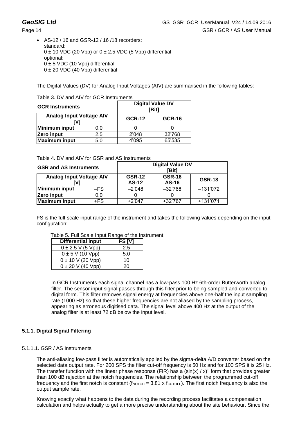# **GeoSIG Ltd** GS\_GSR\_GCR\_UserManual\_V24 / 14.09.2016 Page 14 GSR / GCR / AS User Manual

#### AS-12 / 16 and GSR-12 / 16 /18 recorders: standard:  $0 \pm 10$  VDC (20 Vpp) or  $0 \pm 2.5$  VDC (5 Vpp) differential optional:  $0 \pm 5$  VDC (10 Vpp) differential  $0 \pm 20$  VDC (40 Vpp) differential

The Digital Values (DV) for Analog Input Voltages (AIV) are summarised in the following tables:

|  | Table 3. DV and AIV for GCR Instruments |
|--|-----------------------------------------|
|  |                                         |

| <b>GCR Instruments</b>          |     | <b>Digital Value DV</b><br>[Bit] |               |  |  |
|---------------------------------|-----|----------------------------------|---------------|--|--|
| <b>Analog Input Voltage AIV</b> |     | <b>GCR-12</b>                    | <b>GCR-16</b> |  |  |
| <b>Minimum input</b>            | 0.0 |                                  |               |  |  |
| Zero input<br>2.5               |     | 2'048                            | 32'768        |  |  |
| <b>Maximum input</b>            | 5.0 | 4'095                            | 65'535        |  |  |

| Table 4. DV and AIV for GSR and AS Instruments |  |  |
|------------------------------------------------|--|--|
|                                                |  |  |

| <b>GSR and AS Instruments</b>          |       | <b>Digital Value DV</b><br>[Bit] |                        |               |  |
|----------------------------------------|-------|----------------------------------|------------------------|---------------|--|
| <b>Analog Input Voltage AIV</b><br>[V] |       | <b>GSR-12</b><br><b>AS-12</b>    | <b>GSR-16</b><br>AS-16 | <b>GSR-18</b> |  |
| <b>Minimum input</b>                   | $-FS$ | $-2'048$                         | $-32'768$              | $-131'072$    |  |
| Zero input                             | 0.0   |                                  |                        |               |  |
| <b>Maximum input</b>                   | +FS   | $+2'047$                         | +32'767                | +131'071      |  |

FS is the full-scale input range of the instrument and takes the following values depending on the input configuration:

| <b>Differential input</b> | FS [V] |  |
|---------------------------|--------|--|
| $0 \pm 2.5$ V (5 Vpp)     | 2.5    |  |
| $0 \pm 5$ V (10 Vpp)      | 5.0    |  |
| $0 \pm 10$ V (20 Vpp)     | 10     |  |
| $0 \pm 20$ V (40 Vpp)     | 20     |  |

Table 5. Full Scale Input Range of the Instrument

In GCR Instruments each signal channel has a low-pass 100 Hz 6th-order Butterworth analog filter. The sensor input signal passes through this filter prior to being sampled and converted to digital form. This filter removes signal energy at frequencies above one-half the input sampling rate (1000 Hz) so that these higher frequencies are not aliased by the sampling process, appearing as erroneous digitised data. The signal level above 400 Hz at the output of the analog filter is at least 72 dB below the input level.

# **5.1.1. Digital Signal Filtering**

5.1.1.1. GSR / AS Instruments

The anti-aliasing low-pass filter is automatically applied by the sigma-delta A/D converter based on the selected data output rate. For 200 SPS the filter cut-off frequency is 50 Hz and for 100 SPS it is 25 Hz. The transfer function with the linear phase response (FIR) has a (sin(x) /  $x$ )<sup>3</sup> form that provides greater than 100 dB rejection at the notch frequencies. The relationship between the programmed cut-off frequency and the first notch is constant (f<sub>NOTCH</sub> =  $3.81 \times$  f<sub>CUTOFF</sub>). The first notch frequency is also the output sample rate.

Knowing exactly what happens to the data during the recording process facilitates a compensation calculation and helps actually to get a more precise understanding about the site behaviour. Since the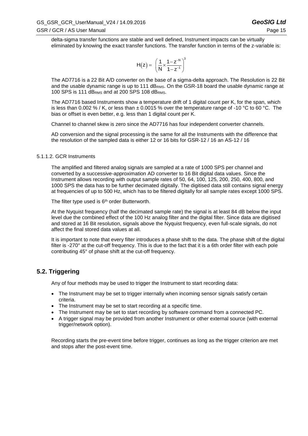delta-sigma transfer functions are stable and well defined, Instrument impacts can be virtually eliminated by knowing the exact transfer functions. The transfer function in terms of the z-variable is:

$$
H(z) = \left(\frac{1}{N} \times \frac{1 - z^{-N}}{1 - z^{-1}}\right)^3
$$

The AD7716 is a 22 Bit A/D converter on the base of a sigma-delta approach. The Resolution is 22 Bit and the usable dynamic range is up to 111 dB<sub>RMS</sub>. On the GSR-18 board the usable dynamic range at 100 SPS is 111 dBRMS and at 200 SPS 108 dBRMS.

The AD7716 based Instruments show a temperature drift of 1 digital count per K, for the span, which is less than 0.002 % / K, or less than  $\pm$  0.0015 % over the temperature range of -10 °C to 60 °C. The bias or offset is even better, e.g. less than 1 digital count per K.

Channel to channel skew is zero since the AD7716 has four independent converter channels.

AD conversion and the signal processing is the same for all the Instruments with the difference that the resolution of the sampled data is either 12 or 16 bits for GSR-12 / 16 an AS-12 / 16

#### 5.1.1.2. GCR Instruments

The amplified and filtered analog signals are sampled at a rate of 1000 SPS per channel and converted by a successive-approximation AD converter to 16 Bit digital data values. Since the Instrument allows recording with output sample rates of 50, 64, 100, 125, 200, 250, 400, 800, and 1000 SPS the data has to be further decimated digitally. The digitised data still contains signal energy at frequencies of up to 500 Hz, which has to be filtered digitally for all sample rates except 1000 SPS.

The filter type used is  $6<sup>th</sup>$  order Butterworth.

At the Nyquist frequency (half the decimated sample rate) the signal is at least 84 dB below the input level due the combined effect of the 100 Hz analog filter and the digital filter. Since data are digitised and stored at 16 Bit resolution, signals above the Nyquist frequency, even full-scale signals, do not affect the final stored data values at all.

It is important to note that every filter introduces a phase shift to the data. The phase shift of the digital filter is -270° at the cut-off frequency. This is due to the fact that it is a 6th order filter with each pole contributing 45° of phase shift at the cut-off frequency.

# **5.2. Triggering**

Any of four methods may be used to trigger the Instrument to start recording data:

- The Instrument may be set to trigger internally when incoming sensor signals satisfy certain criteria.
- The Instrument may be set to start recording at a specific time.
- The Instrument may be set to start recording by software command from a connected PC.
- A trigger signal may be provided from another Instrument or other external source (with external trigger/network option).

Recording starts the pre-event time before trigger, continues as long as the trigger criterion are met and stops after the post-event time.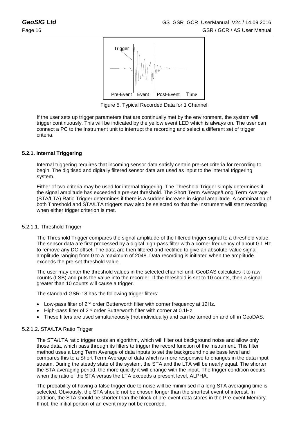

Figure 5. Typical Recorded Data for 1 Channel

If the user sets up trigger parameters that are continually met by the environment, the system will trigger continuously. This will be indicated by the yellow event LED which is always on. The user can connect a PC to the Instrument unit to interrupt the recording and select a different set of trigger criteria.

### **5.2.1. Internal Triggering**

Internal triggering requires that incoming sensor data satisfy certain pre-set criteria for recording to begin. The digitised and digitally filtered sensor data are used as input to the internal triggering system.

Either of two criteria may be used for internal triggering. The Threshold Trigger simply determines if the signal amplitude has exceeded a pre-set threshold. The Short Term Average/Long Term Average (STA/LTA) Ratio Trigger determines if there is a sudden increase in signal amplitude. A combination of both Threshold and STA/LTA triggers may also be selected so that the Instrument will start recording when either trigger criterion is met.

#### 5.2.1.1. Threshold Trigger

The Threshold Trigger compares the signal amplitude of the filtered trigger signal to a threshold value. The sensor data are first processed by a digital high-pass filter with a corner frequency of about 0.1 Hz to remove any DC offset. The data are then filtered and rectified to give an absolute-value signal amplitude ranging from 0 to a maximum of 2048. Data recording is initiated when the amplitude exceeds the pre-set threshold value.

The user may enter the threshold values in the selected channel unit. GeoDAS calculates it to raw counts (LSB) and puts the value into the recorder. If the threshold is set to 10 counts, then a signal greater than 10 counts will cause a trigger.

The standard GSR-18 has the following trigger filters:

- Low-pass filter of 2<sup>nd</sup> order Butterworth filter with corner frequency at 12Hz.
- High-pass filter of 2<sup>nd</sup> order Butterworth filter with corner at 0.1Hz.
- These filters are used simultaneously (not individually) and can be turned on and off in GeoDAS.

#### 5.2.1.2. STA/LTA Ratio Trigger

The STA/LTA ratio trigger uses an algorithm, which will filter out background noise and allow only those data, which pass through its filters to trigger the record function of the Instrument. This filter method uses a Long Term Average of data inputs to set the background noise base level and compares this to a Short Term Average of data which is more responsive to changes in the data input stream. During the steady state of the system, the STA and the LTA will be nearly equal. The shorter the STA averaging period, the more quickly it will change with the input. The trigger condition occurs when the ratio of the STA versus the LTA exceeds a present level, ALPHA.

The probability of having a false trigger due to noise will be minimised if a long STA averaging time is selected. Obviously, the STA should not be chosen longer than the shortest event of interest. In addition, the STA should be shorter than the block of pre-event data stores in the Pre-event Memory. If not, the initial portion of an event may not be recorded.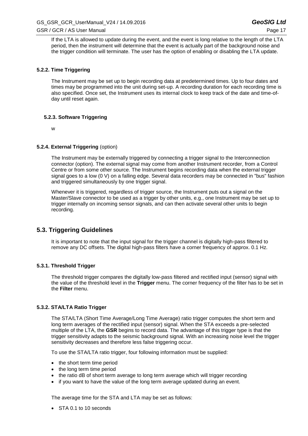If the LTA is allowed to update during the event, and the event is long relative to the length of the LTA period, then the instrument will determine that the event is actually part of the background noise and the trigger condition will terminate. The user has the option of enabling or disabling the LTA update.

#### **5.2.2. Time Triggering**

The Instrument may be set up to begin recording data at predetermined times. Up to four dates and times may be programmed into the unit during set-up. A recording duration for each recording time is also specified. Once set, the Instrument uses its internal clock to keep track of the date and time-ofday until reset again.

#### **5.2.3. Software Triggering**

w

#### **5.2.4. External Triggering** (option)

The Instrument may be externally triggered by connecting a trigger signal to the Interconnection connector (option). The external signal may come from another Instrument recorder, from a Control Centre or from some other source. The Instrument begins recording data when the external trigger signal goes to a low (0 V) on a falling edge. Several data recorders may be connected in "bus" fashion and triggered simultaneously by one trigger signal.

Whenever it is triggered, regardless of trigger source, the Instrument puts out a signal on the Master/Slave connector to be used as a trigger by other units, e.g., one Instrument may be set up to trigger internally on incoming sensor signals, and can then activate several other units to begin recording.

## **5.3. Triggering Guidelines**

It is important to note that the input signal for the trigger channel is digitally high-pass filtered to remove any DC offsets. The digital high-pass filters have a corner frequency of approx. 0.1 Hz.

#### **5.3.1. Threshold Trigger**

The threshold trigger compares the digitally low-pass filtered and rectified input (sensor) signal with the value of the threshold level in the **Trigger** menu. The corner frequency of the filter has to be set in the **Filter** menu.

#### **5.3.2. STA/LTA Ratio Trigger**

The STA/LTA (Short Time Average/Long Time Average) ratio trigger computes the short term and long term averages of the rectified input (sensor) signal. When the STA exceeds a pre-selected multiple of the LTA, the **GSR** begins to record data. The advantage of this trigger type is that the trigger sensitivity adapts to the seismic background signal. With an increasing noise level the trigger sensitivity decreases and therefore less false triggering occur.

To use the STA/LTA ratio trigger, four following information must be supplied:

- the short term time period
- the long term time period
- the ratio dB of short term average to long term average which will trigger recording
- if you want to have the value of the long term average updated during an event.

The average time for the STA and LTA may be set as follows:

STA 0.1 to 10 seconds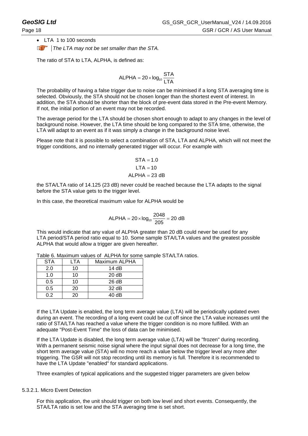LTA 1 to 100 seconds

*A* The LTA may not be set smaller than the STA.

The ratio of STA to LTA, ALPHA, is defined as:

$$
ALPHA = 20 \times log_{10} \frac{STA}{LTA}
$$

The probability of having a false trigger due to noise can be minimised if a long STA averaging time is selected. Obviously, the STA should not be chosen longer than the shortest event of interest. In addition, the STA should be shorter than the block of pre-event data stored in the Pre-event Memory. If not, the initial portion of an event may not be recorded.

The average period for the LTA should be chosen short enough to adapt to any changes in the level of background noise. However, the LTA time should be long compared to the STA time, otherwise, the LTA will adapt to an event as if it was simply a change in the background noise level.

Please note that it is possible to select a combination of STA, LTA and ALPHA, which will not meet the trigger conditions, and no internally generated trigger will occur. For example with

$$
STA = 1.0
$$
  
\n
$$
LTA = 10
$$
  
\n
$$
ALPHA = 23 dB
$$

the STA/LTA ratio of 14.125 (23 dB) never could be reached because the LTA adapts to the signal before the STA value gets to the trigger level.

In this case, the theoretical maximum value for ALPHA would be

ALPHA = 
$$
20 \times \log_{10} \frac{2048}{205} = 20 \text{ dB}
$$

This would indicate that any value of ALPHA greater than 20 dB could never be used for any LTA period/STA period ratio equal to 10. Some sample STA/LTA values and the greatest possible ALPHA that would allow a trigger are given hereafter.

| <b>STA</b> | LTA | Maximum ALPHA     |
|------------|-----|-------------------|
| 2.0        | 10  | 14 dB             |
| 1.0        | 10  | 20dB              |
| 0.5        | 10  | 26 dB             |
| 0.5        | 20  | 32 <sub>d</sub> B |
| 0.2        | 20  | 40 dB             |

Table 6. Maximum values of ALPHA for some sample STA/LTA ratios.

If the LTA Update is enabled, the long term average value (LTA) will be periodically updated even during an event. The recording of a long event could be cut off since the LTA value increases until the ratio of STA/LTA has reached a value where the trigger condition is no more fulfilled. With an adequate "Post-Event Time" the loss of data can be minimised.

If the LTA Update is disabled, the long term average value (LTA) will be "frozen" during recording. With a permanent seismic noise signal where the input signal does not decrease for a long time, the short term average value (STA) will no more reach a value below the trigger level any more after triggering. The GSR will not stop recording until its memory is full. Therefore it is recommended to have the LTA Update "enabled" for standard applications.

Three examples of typical applications and the suggested trigger parameters are given below

#### 5.3.2.1. Micro Event Detection

For this application, the unit should trigger on both low level and short events. Consequently, the STA/LTA ratio is set low and the STA averaging time is set short.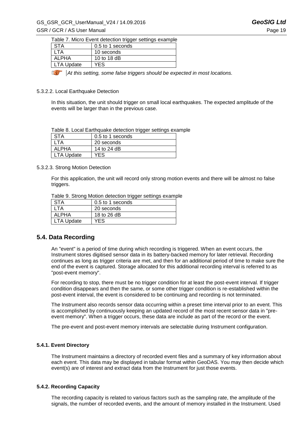### GS\_GSR\_GCR\_UserManual\_V24 / 14.09.2016 *GeoSIG Ltd* GSR / GCR / AS User Manual **Page 19**

| Table 7. Micro Event detection trigger settings example |                  |  |
|---------------------------------------------------------|------------------|--|
| <b>STA</b>                                              | 0.5 to 1 seconds |  |
| I TA                                                    | 10 seconds       |  |
| <b>ALPHA</b>                                            | 10 to 18 dB      |  |
| <b>LTA Update</b>                                       | <b>YES</b>       |  |

*At this setting, some false triggers should be expected in most locations.* 

#### 5.3.2.2. Local Earthquake Detection

In this situation, the unit should trigger on small local earthquakes. The expected amplitude of the events will be larger than in the previous case.

| Table 8. Local Earthquake detection trigger settings example |  |
|--------------------------------------------------------------|--|
|--------------------------------------------------------------|--|

| <b>STA</b>        | 0.5 to 1 seconds |
|-------------------|------------------|
| .TA               | 20 seconds       |
| <b>ALPHA</b>      | 14 to 24 dB      |
| <b>LTA Update</b> | YFS              |

#### 5.3.2.3. Strong Motion Detection

For this application, the unit will record only strong motion events and there will be almost no false triggers.

| <b>STA</b>        | 0.5 to 1 seconds |
|-------------------|------------------|
| _TA               | 20 seconds       |
| ALPHA             | 18 to 26 dB      |
| <b>LTA Update</b> | YES              |

## **5.4. Data Recording**

An "event" is a period of time during which recording is triggered. When an event occurs, the Instrument stores digitised sensor data in its battery-backed memory for later retrieval. Recording continues as long as trigger criteria are met, and then for an additional period of time to make sure the end of the event is captured. Storage allocated for this additional recording interval is referred to as "post-event memory".

For recording to stop, there must be no trigger condition for at least the post-event interval. If trigger condition disappears and then the same, or some other trigger condition is re-established within the post-event interval, the event is considered to be continuing and recording is not terminated.

The Instrument also records sensor data occurring within a preset time interval prior to an event. This is accomplished by continuously keeping an updated record of the most recent sensor data in "preevent memory". When a trigger occurs, these data are include as part of the record or the event.

The pre-event and post-event memory intervals are selectable during Instrument configuration.

#### **5.4.1. Event Directory**

The Instrument maintains a directory of recorded event files and a summary of key information about each event. This data may be displayed in tabular format within GeoDAS. You may then decide which event(s) are of interest and extract data from the Instrument for just those events.

#### **5.4.2. Recording Capacity**

The recording capacity is related to various factors such as the sampling rate, the amplitude of the signals, the number of recorded events, and the amount of memory installed in the Instrument. Used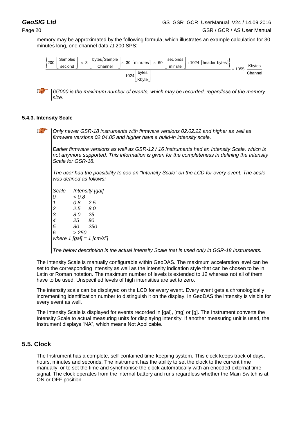

*65'000 is the maximum number of events, which may be recorded, regardless of the memory*  LE *size.*

#### **5.4.3. Intensity Scale**

**a** 

*Only newer GSR-18 instruments with firmware versions 02.02.22 and higher as well as firmware versions 02.04.05 and higher have a build-in intensity scale.*

*Earlier firmware versions as well as GSR-12 / 16 Instruments had an Intensity Scale, which is not anymore supported. This information is given for the completeness in defining the Intensity Scale for GSR-18.* 

*The user had the possibility to see an "Intensity Scale" on the LCD for every event. The scale was defined as follows:*

*Scale Intensity [gal] 0 < 0.8 1 0.8 2.5 2 2.5 8.0 3 8.0 25 4 25 80 5 80 250 6 > 250 where 1 [gal] = 1 [cm/s<sup>2</sup> ]*

*The below description is the actual Intensity Scale that is used only in GSR-18 Instruments.*

The Intensity Scale is manually configurable within GeoDAS. The maximum acceleration level can be set to the corresponding intensity as well as the intensity indication style that can be chosen to be in Latin or Roman notation. The maximum number of levels is extended to 12 whereas not all of them have to be used. Unspecified levels of high intensities are set to zero.

The intensity scale can be displayed on the LCD for every event. Every event gets a chronologically incrementing identification number to distinguish it on the display. In GeoDAS the intensity is visible for every event as well.

The Intensity Scale is displayed for events recorded in [gal], [mg] or [g]. The Instrument converts the Intensity Scale to actual measuring units for displaying intensity. If another measuring unit is used, the Instrument displays "NA", which means Not Applicable.

## <span id="page-29-0"></span>**5.5. Clock**

The Instrument has a complete, self-contained time-keeping system. This clock keeps track of days, hours, minutes and seconds. The instrument has the ability to set the clock to the current time manually, or to set the time and synchronise the clock automatically with an encoded external time signal. The clock operates from the internal battery and runs regardless whether the Main Switch is at ON or OFF position.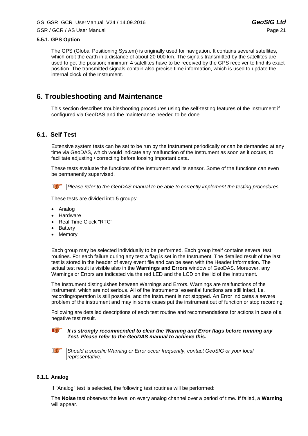#### **5.5.1. GPS Option**

The GPS (Global Positioning System) is originally used for navigation. It contains several satellites, which orbit the earth in a distance of about 20 000 km. The signals transmitted by the satellites are used to get the position; minimum 4 satellites have to be received by the GPS receiver to find its exact position. The transmitted signals contain also precise time information, which is used to update the internal clock of the Instrument.

# **6. Troubleshooting and Maintenance**

This section describes troubleshooting procedures using the self-testing features of the Instrument if configured via GeoDAS and the maintenance needed to be done.

## **6.1. Self Test**

Extensive system tests can be set to be run by the Instrument periodically or can be demanded at any time via GeoDAS, which would indicate any malfunction of the Instrument as soon as it occurs, to facilitate adjusting / correcting before loosing important data.

These tests evaluate the functions of the Instrument and its sensor. Some of the functions can even be permanently supervised.

**<b>***P Please refer to the GeoDAS manual to be able to correctly implement the testing procedures.* 

These tests are divided into 5 groups:

- Analog
- Hardware
- Real Time Clock "RTC"
- **Battery**
- Memory

Each group may be selected individually to be performed. Each group itself contains several test routines. For each failure during any test a flag is set in the Instrument. The detailed result of the last test is stored in the header of every event file and can be seen with the Header Information. The actual test result is visible also in the **Warnings and Errors** window of GeoDAS. Moreover, any Warnings or Errors are indicated via the red LED and the LCD on the lid of the Instrument.

The Instrument distinguishes between Warnings and Errors. Warnings are malfunctions of the instrument, which are not serious. All of the Instruments' essential functions are still intact, i.e. recording/operation is still possible, and the Instrument is not stopped. An Error indicates a severe problem of the instrument and may in some cases put the instrument out of function or stop recording.

Following are detailed descriptions of each test routine and recommendations for actions in case of a negative test result.

*It is strongly recommended to clear the Warning and Error flags before running any Test. Please refer to the GeoDAS manual to achieve this.*



*Should a specific Warning or Error occur frequently, contact GeoSIG or your local representative.*

#### **6.1.1. Analog**

If "Analog" test is selected, the following test routines will be performed:

The **Noise** test observes the level on every analog channel over a period of time. If failed, a **Warning** will appear.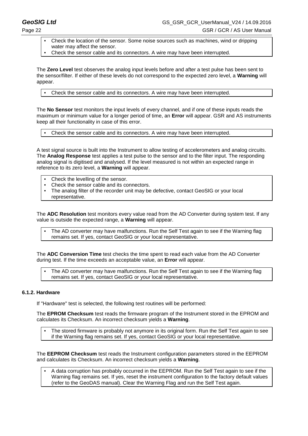- Check the location of the sensor. Some noise sources such as machines, wind or dripping water may affect the sensor.
- Check the sensor cable and its connectors. A wire may have been interrupted.

The **Zero Level** test observes the analog input levels before and after a test pulse has been sent to the sensor/filter. If either of these levels do not correspond to the expected zero level, a **Warning** will appear.

Check the sensor cable and its connectors. A wire may have been interrupted.

The **No Sensor** test monitors the input levels of every channel, and if one of these inputs reads the maximum or minimum value for a longer period of time, an **Error** will appear. GSR and AS instruments keep all their functionality in case of this error.

Check the sensor cable and its connectors. A wire may have been interrupted.

A test signal source is built into the Instrument to allow testing of accelerometers and analog circuits. The **Analog Response** test applies a test pulse to the sensor and to the filter input. The responding analog signal is digitised and analysed. If the level measured is not within an expected range in reference to its zero level, a **Warning** will appear.

- Check the levelling of the sensor.
- Check the sensor cable and its connectors.
- The analog filter of the recorder unit may be defective, contact GeoSIG or your local representative.

The **ADC Resolution** test monitors every value read from the AD Converter during system test. If any value is outside the expected range, a **Warning** will appear.

The AD converter may have malfunctions. Run the Self Test again to see if the Warning flag remains set. If yes, contact GeoSIG or your local representative.

The **ADC Conversion Time** test checks the time spent to read each value from the AD Converter during test. If the time exceeds an acceptable value, an **Error** will appear.

The AD converter may have malfunctions. Run the Self Test again to see if the Warning flag remains set. If yes, contact GeoSIG or your local representative.

#### **6.1.2. Hardware**

If "Hardware" test is selected, the following test routines will be performed:

The **EPROM Checksum** test reads the firmware program of the Instrument stored in the EPROM and calculates its Checksum. An incorrect checksum yields a **Warning**.

The stored firmware is probably not anymore in its original form. Run the Self Test again to see if the Warning flag remains set. If yes, contact GeoSIG or your local representative.

The **EEPROM Checksum** test reads the Instrument configuration parameters stored in the EEPROM and calculates its Checksum. An incorrect checksum yields a **Warning**.

A data corruption has probably occurred in the EEPROM. Run the Self Test again to see if the Warning flag remains set. If yes, reset the instrument configuration to the factory default values (refer to the GeoDAS manual). Clear the Warning Flag and run the Self Test again.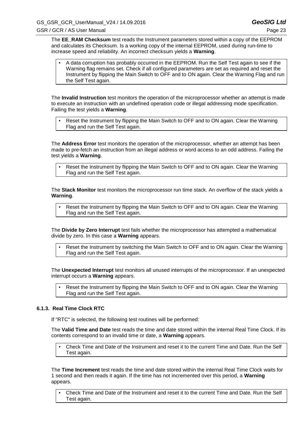The **EE\_RAM Checksum** test reads the Instrument parameters stored within a copy of the EEPROM and calculates its Checksum. Is a working copy of the internal EEPROM, used during run-time to increase speed and reliability. An incorrect checksum yields a **Warning**.

A data corruption has probably occurred in the EEPROM. Run the Self Test again to see if the Warning flag remains set. Check if all configured parameters are set as required and reset the Instrument by flipping the Main Switch to OFF and to ON again. Clear the Warning Flag and run the Self Test again.

The **Invalid Instruction** test monitors the operation of the microprocessor whether an attempt is made to execute an instruction with an undefined operation code or illegal addressing mode specification. Failing the test yields a **Warning**.

Reset the Instrument by flipping the Main Switch to OFF and to ON again. Clear the Warning Flag and run the Self Test again.

The **Address Error** test monitors the operation of the microprocessor, whether an attempt has been made to pre-fetch an instruction from an illegal address or word access to an odd address. Failing the test yields a **Warning**.

Reset the Instrument by flipping the Main Switch to OFF and to ON again. Clear the Warning Flag and run the Self Test again.

The **Stack Monitor** test monitors the microprocessor run time stack. An overflow of the stack yields a **Warning**.

▪ Reset the Instrument by flipping the Main Switch to OFF and to ON again. Clear the Warning Flag and run the Self Test again.

The **Divide by Zero Interrupt** test fails whether the microprocessor has attempted a mathematical divide by zero. In this case a **Warning** appears.

Reset the Instrument by switching the Main Switch to OFF and to ON again. Clear the Warning Flag and run the Self Test again.

The **Unexpected Interrupt** test monitors all unused interrupts of the microprocessor. If an unexpected interrupt occurs a **Warning** appears.

Reset the Instrument by flipping the Main Switch to OFF and to ON again. Clear the Warning Flag and run the Self Test again.

#### **6.1.3. Real Time Clock RTC**

If "RTC" is selected, the following test routines will be performed:

The **Valid Time and Date** test reads the time and date stored within the internal Real Time Clock. If its contents correspond to an invalid time or date, a **Warning** appears.

Check Time and Date of the Instrument and reset it to the current Time and Date. Run the Self Test again.

The **Time Increment** test reads the time and date stored within the internal Real Time Clock waits for 1 second and then reads it again. If the time has not incremented over this period, a **Warning** appears.

Check Time and Date of the Instrument and reset it to the current Time and Date. Run the Self Test again.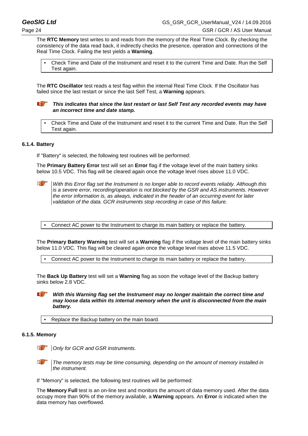The **RTC Memory** test writes to and reads from the memory of the Real Time Clock. By checking the consistency of the data read back, it indirectly checks the presence, operation and connections of the Real Time Clock. Failing the test yields a **Warning**.

Check Time and Date of the Instrument and reset it to the current Time and Date. Run the Self Test again.

The **RTC Oscillator** test reads a test flag within the internal Real Time Clock. If the Oscillator has failed since the last restart or since the last Self Test, a **Warning** appears.

#### **a** *This indicates that since the last restart or last Self Test any recorded events may have an incorrect time and date stamp.*

Check Time and Date of the Instrument and reset it to the current Time and Date. Run the Self Test again.

#### **6.1.4. Battery**

If "Battery" is selected, the following test routines will be performed:

The **Primary Battery Error** test will set an **Error** flag if the voltage level of the main battery sinks below 10.5 VDC. This flag will be cleared again once the voltage level rises above 11.0 VDC.



*With this Error flag set the Instrument is no longer able to record events reliably. Although this is a severe error, recording/operation is not blocked by the GSR and AS instruments. However the error information is, as always, indicated in the header of an occurring event for later validation of the data. GCR instruments stop recording in case of this failure.*

Connect AC power to the Instrument to charge its main battery or replace the battery.

The **Primary Battery Warning** test will set a **Warning** flag if the voltage level of the main battery sinks below 11.0 VDC. This flag will be cleared again once the voltage level rises above 11.5 VDC.

▪ Connect AC power to the Instrument to charge its main battery or replace the battery.

The **Back Up Battery** test will set a **Warning** flag as soon the voltage level of the Backup battery sinks below 2.8 VDC.

*With this Warning flag set the Instrument may no longer maintain the correct time and may loose data within its internal memory when the unit is disconnected from the main battery.*

Replace the Backup battery on the main board.

#### **6.1.5. Memory**

*<u><b>A</u> Only for GCR and GSR instruments.* 

*The memory tests may be time consuming, depending on the amount of memory installed in the instrument.*

If "Memory" is selected, the following test routines will be performed:

The **Memory Full** test is an on-line test and monitors the amount of data memory used. After the data occupy more than 90% of the memory available, a **Warning** appears. An **Error** is indicated when the data memory has overflowed.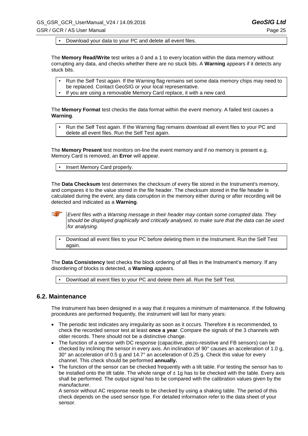▪ Download your data to your PC and delete all event files.

The **Memory Read/Write** test writes a 0 and a 1 to every location within the data memory without corrupting any data, and checks whether there are no stuck bits. A **Warning** appears if it detects any stuck bits.

- Run the Self Test again. If the Warning flag remains set some data memory chips may need to be replaced. Contact GeoSIG or your local representative.
- If you are using a removable Memory Card replace, it with a new card.

The **Memory Format** test checks the data format within the event memory. A failed test causes a **Warning**.

Run the Self Test again. If the Warning flag remains download all event files to your PC and delete all event files. Run the Self Test again.

The **Memory Present** test monitors on-line the event memory and if no memory is present e.g. Memory Card is removed, an **Error** will appear.

Insert Memory Card properly.

The **Data Checksum** test determines the checksum of every file stored in the Instrument's memory, and compares it to the value stored in the file header. The checksum stored in the file header is calculated during the event; any data corruption in the memory either during or after recording will be detected and indicated as a **Warning**.

*Event files with a Warning message in their header may contain some corrupted data. They should be displayed graphically and critically analysed, to make sure that the data can be used for analysing.*

Download all event files to your PC before deleting them in the Instrument. Run the Self Test again.

The **Data Consistency** test checks the block ordering of all files in the Instrument's memory. If any disordering of blocks is detected, a **Warning** appears.

Download all event files to your PC and delete them all. Run the Self Test.

#### **6.2. Maintenance**

The Instrument has been designed in a way that it requires a minimum of maintenance. If the following procedures are performed frequently, the instrument will last for many years:

- The periodic test indicates any irregularity as soon as it occurs. Therefore it is recommended, to check the recorded sensor test at least **once a year**. Compare the signals of the 3 channels with older records. There should not be a distinctive change.
- The function of a sensor with DC response (capacitive, piezo-resistive and FB sensors) can be checked by inclining the sensor in every axis. An inclination of 90° causes an acceleration of 1.0 g, 30° an acceleration of 0.5 g and 14.7° an acceleration of 0.25 g. Check this value for every channel. This check should be performed **annually.**
- The function of the sensor can be checked frequently with a tilt table. For testing the sensor has to be installed onto the tilt table. The whole range of  $\pm$  1g has to be checked with the table. Every axis shall be performed. The output signal has to be compared with the calibration values given by the manufacturer.

A sensor without AC response needs to be checked by using a shaking table. The period of this check depends on the used sensor type. For detailed information refer to the data sheet of your sensor.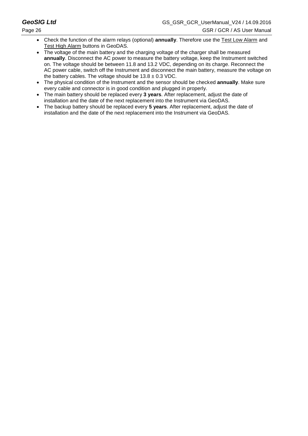- Check the function of the alarm relays (optional) **annually**. Therefore use the Test Low Alarm and **Test High Alarm buttons in GeoDAS.**
- The voltage of the main battery and the charging voltage of the charger shall be measured **annually**. Disconnect the AC power to measure the battery voltage, keep the Instrument switched on. The voltage should be between 11.8 and 13.2 VDC, depending on its charge. Reconnect the AC power cable, switch off the Instrument and disconnect the main battery, measure the voltage on the battery cables. The voltage should be  $13.8 \pm 0.3$  VDC.
- The physical condition of the Instrument and the sensor should be checked **annually**. Make sure every cable and connector is in good condition and plugged in properly.
- The main battery should be replaced every **3 years**. After replacement, adjust the date of installation and the date of the next replacement into the Instrument via GeoDAS.
- The backup battery should be replaced every **5 years**. After replacement, adjust the date of installation and the date of the next replacement into the Instrument via GeoDAS.